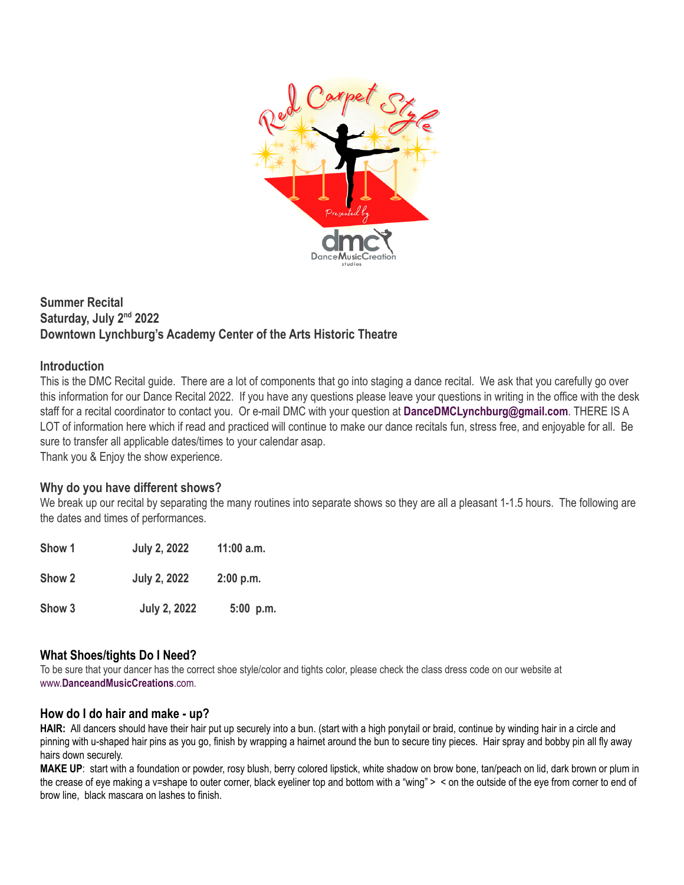

## **Summer Recital Saturday, July 2nd 2022 Downtown Lynchburg's Academy Center of the Arts Historic Theatre**

#### **Introduction**

This is the DMC Recital guide. There are a lot of components that go into staging a dance recital. We ask that you carefully go over this information for our Dance Recital 2022. If you have any questions please leave your questions in writing in the office with the desk staff for a recital coordinator to contact you. Or e-mail DMC with your question at **DanceDMCLynchburg@gmail.com**. THERE IS A LOT of information here which if read and practiced will continue to make our dance recitals fun, stress free, and enjoyable for all. Be sure to transfer all applicable dates/times to your calendar asap.

Thank you & Enjoy the show experience.

#### **Why do you have different shows?**

We break up our recital by separating the many routines into separate shows so they are all a pleasant 1-1.5 hours. The following are the dates and times of performances.

| Show 1 | <b>July 2, 2022</b> | $11:00$ a.m. |
|--------|---------------------|--------------|
| Show 2 | <b>July 2, 2022</b> | 2:00 p.m.    |
| Show 3 | <b>July 2, 2022</b> | $5:00$ p.m.  |

## **What Shoes/tights Do I Need?**

To be sure that your dancer has the correct shoe style/color and tights color, please check the class dress code on our website at www.**[DanceandMusicCreations](http://www.danceandmusiccreations.com)**.com.

#### **How do I do hair and make - up?**

**HAIR:** All dancers should have their hair put up securely into a bun. (start with a high ponytail or braid, continue by winding hair in a circle and pinning with u-shaped hair pins as you go, finish by wrapping a hairnet around the bun to secure tiny pieces. Hair spray and bobby pin all fly away hairs down securely.

**MAKE UP**: start with a foundation or powder, rosy blush, berry colored lipstick, white shadow on brow bone, tan/peach on lid, dark brown or plum in the crease of eye making a v=shape to outer corner, black eyeliner top and bottom with a "wing" > < on the outside of the eye from corner to end of brow line, black mascara on lashes to finish.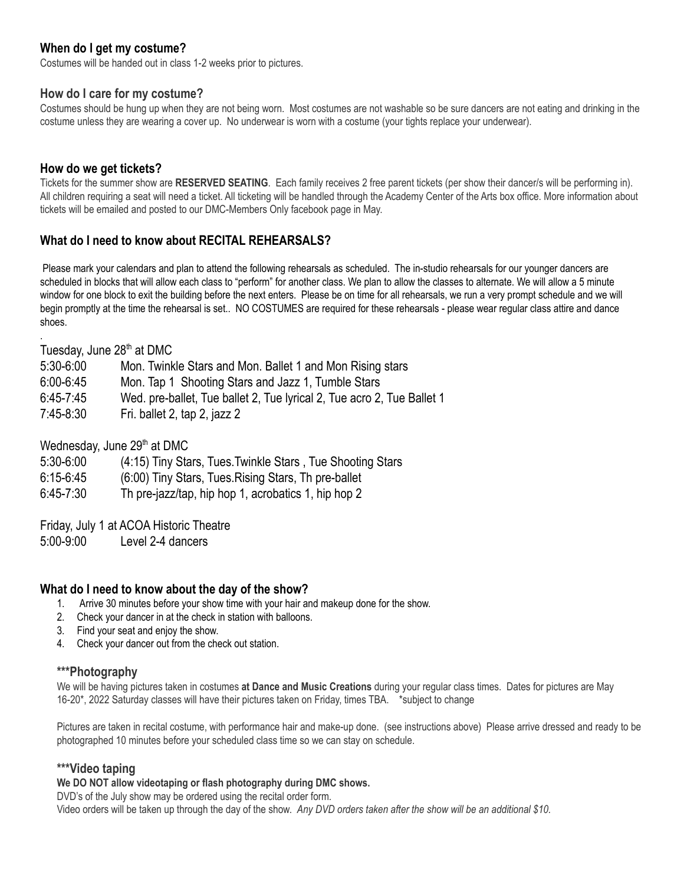### **When do I get my costume?**

Costumes will be handed out in class 1-2 weeks prior to pictures.

#### **How do I care for my costume?**

Costumes should be hung up when they are not being worn. Most costumes are not washable so be sure dancers are not eating and drinking in the costume unless they are wearing a cover up. No underwear is worn with a costume (your tights replace your underwear).

#### **How do we get tickets?**

Tickets for the summer show are **RESERVED SEATING**. Each family receives 2 free parent tickets (per show their dancer/s will be performing in). All children requiring a seat will need a ticket. All ticketing will be handled through the Academy Center of the Arts box office. More information about tickets will be emailed and posted to our DMC-Members Only facebook page in May.

#### **What do I need to know about RECITAL REHEARSALS?**

Please mark your calendars and plan to attend the following rehearsals as scheduled. The in-studio rehearsals for our younger dancers are scheduled in blocks that will allow each class to "perform" for another class. We plan to allow the classes to alternate. We will allow a 5 minute window for one block to exit the building before the next enters. Please be on time for all rehearsals, we run a very prompt schedule and we will begin promptly at the time the rehearsal is set.. NO COSTUMES are required for these rehearsals - please wear regular class attire and dance shoes.

Tuesday, June 28<sup>th</sup> at DMC

.

| $5:30-6:00$   | Mon. Twinkle Stars and Mon. Ballet 1 and Mon Rising stars              |
|---------------|------------------------------------------------------------------------|
| $6:00 - 6:45$ | Mon. Tap 1 Shooting Stars and Jazz 1, Tumble Stars                     |
| $6:45 - 7:45$ | Wed. pre-ballet, Tue ballet 2, Tue lyrical 2, Tue acro 2, Tue Ballet 1 |
| 7:45-8:30     | Fri. ballet 2, tap 2, jazz 2                                           |

Wednesday, June 29<sup>th</sup> at DMC

- 5:30-6:00 (4:15) Tiny Stars, Tues.Twinkle Stars , Tue Shooting Stars
- 6:15-6:45 (6:00) Tiny Stars, Tues.Rising Stars, Th pre-ballet
- 6:45-7:30 Th pre-jazz/tap, hip hop 1, acrobatics 1, hip hop 2

Friday, July 1 at ACOA Historic Theatre

5:00-9:00 Level 2-4 dancers

#### **What do I need to know about the day of the show?**

- 1. Arrive 30 minutes before your show time with your hair and makeup done for the show.
- 2. Check your dancer in at the check in station with balloons.
- 3. Find your seat and enjoy the show.
- 4. Check your dancer out from the check out station.

#### **\*\*\*Photography**

We will be having pictures taken in costumes **at Dance and Music Creations** during your regular class times. Dates for pictures are May 16-20\*, 2022 Saturday classes will have their pictures taken on Friday, times TBA. \*subject to change

Pictures are taken in recital costume, with performance hair and make-up done. (see instructions above) Please arrive dressed and ready to be photographed 10 minutes before your scheduled class time so we can stay on schedule.

#### **\*\*\*Video taping**

#### **We DO NOT allow videotaping or flash photography during DMC shows.**

DVD's of the July show may be ordered using the recital order form. Video orders will be taken up through the day of the show. *Any DVD orders taken after the show will be an additional \$10.*